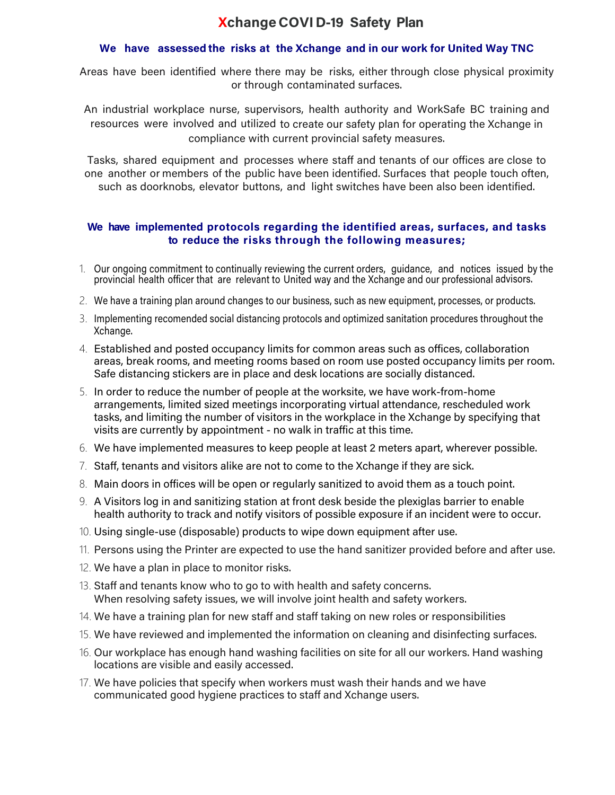# **Xchange COVI D-19 Safety Plan**

### **We have assessed the risks at the Xchange and in our work for United Way TNC**

Areas have been identified where there may be risks, either through close physical proximity or through contaminated surfaces.

An industrial workplace nurse, supervisors, health authority and WorkSafe BC training and resources were involved and utilized to create our safety plan for operating the Xchange in compliance with current provincial safety measures.

Tasks, shared equipment and processes where staff and tenants of our offices are close to one another or members of the public have been identified. Surfaces that people touch often, such as doorknobs, elevator buttons, and light switches have been also been identified.

## **We have implemented protocols regarding the identified areas, surfaces, and tasks to reduce the risks through the following measures;**

- 1. Our ongoing commitment to continually reviewing the current orders, guidance, and notices issued by the provincial health officer that are relevant to United way and the Xchange and our professional advisors.
- 2. We have a training plan around changes to our business, such as new equipment, processes, or products.
- 3. Implementing recomended social distancing protocols and optimized sanitation procedures throughout the Xchange.
- 4. Established and posted occupancy limits for common areas such as offices, collaboration areas, break rooms, and meeting rooms based on room use posted occupancy limits per room. Safe distancing stickers are in place and desk locations are socially distanced.
- 5. In order to reduce the number of people at the worksite, we have work-from-home arrangements, limited sized meetings incorporating virtual attendance, rescheduled work tasks, and limiting the number of visitors in the workplace in the Xchange by specifying that visits are currently by appointment - no walk in traffic at this time.
- 6. We have implemented measures to keep people at least 2 meters apart, wherever possible.
- 7. Staff, tenants and visitors alike are not to come to the Xchange if they are sick.
- 8. Main doors in offices will be open or regularly sanitized to avoid them as a touch point.
- 9. A Visitors log in and sanitizing station at front desk beside the plexiglas barrier to enable health authority to track and notify visitors of possible exposure if an incident were to occur.
- 10. Using single-use (disposable) products to wipe down equipment after use.
- 11. Persons using the Printer are expected to use the hand sanitizer provided before and after use.
- 12. We have a plan in place to monitor risks.
- 13. Staff and tenants know who to go to with health and safety concerns. When resolving safety issues, we will involve joint health and safety workers.
- 14. We have a training plan for new staff and staff taking on new roles or responsibilities
- 15. We have reviewed and implemented the information on cleaning and disinfecting surfaces.
- 16. Our workplace has enough hand washing facilities on site for all our workers. Hand washing locations are visible and easily accessed.
- 17. We have policies that specify when workers must wash their hands and we have communicated good hygiene practices to staff and Xchange users.